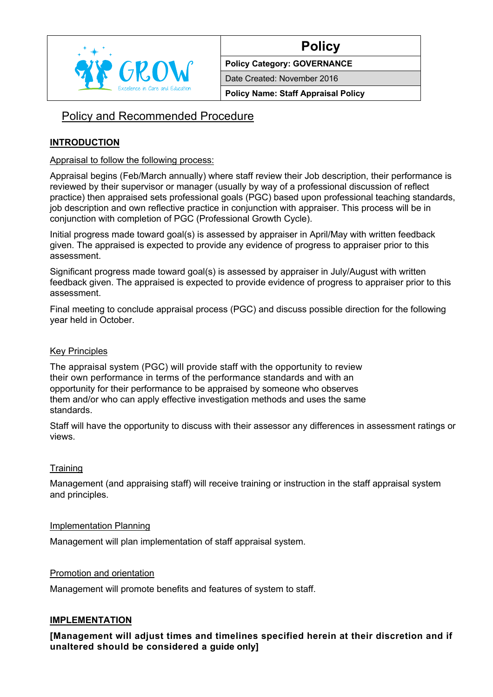

# **Policy**

**Policy Category: GOVERNANCE**

Date Created: November 2016

**Policy Name: Staff Appraisal Policy**

# Policy and Recommended Procedure

# **INTRODUCTION**

#### Appraisal to follow the following process:

Appraisal begins (Feb/March annually) where staff review their Job description, their performance is reviewed by their supervisor or manager (usually by way of a professional discussion of reflect practice) then appraised sets professional goals (PGC) based upon professional teaching standards, job description and own reflective practice in conjunction with appraiser. This process will be in conjunction with completion of PGC (Professional Growth Cycle).

Initial progress made toward goal(s) is assessed by appraiser in April/May with written feedback given. The appraised is expected to provide any evidence of progress to appraiser prior to this assessment.

Significant progress made toward goal(s) is assessed by appraiser in July/August with written feedback given. The appraised is expected to provide evidence of progress to appraiser prior to this assessment.

Final meeting to conclude appraisal process (PGC) and discuss possible direction for the following year held in October.

## Key Principles

The appraisal system (PGC) will provide staff with the opportunity to review their own performance in terms of the performance standards and with an opportunity for their performance to be appraised by someone who observes them and/or who can apply effective investigation methods and uses the same standards.

Staff will have the opportunity to discuss with their assessor any differences in assessment ratings or views.

## **Training**

Management (and appraising staff) will receive training or instruction in the staff appraisal system and principles.

#### Implementation Planning

Management will plan implementation of staff appraisal system.

#### Promotion and orientation

Management will promote benefits and features of system to staff.

#### **IMPLEMENTATION**

**[Management will adjust times and timelines specified herein at their discretion and if unaltered should be considered a guide only]**